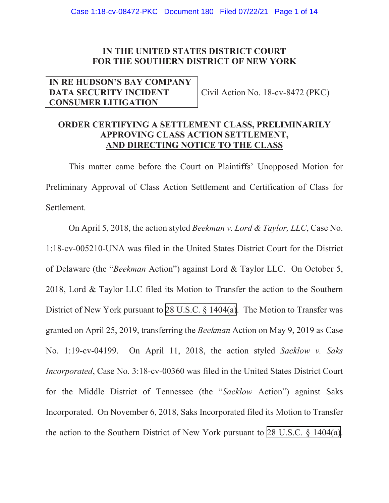# **IN THE UNITED STATES DISTRICT COURT FOR THE SOUTHERN DISTRICT OF NEW YORK**

## **IN RE HUDSON'S BAY COMPANY DATA SECURITY INCIDENT CONSUMER LITIGATION**

Civil Action No. 18-cv-8472 (PKC)

# **ORDER CERTIFYING A SETTLEMENT CLASS, PRELIMINARILY APPROVING CLASS ACTION SETTLEMENT, AND DIRECTING NOTICE TO THE CLASS**

This matter came before the Court on Plaintiffs' Unopposed Motion for Preliminary Approval of Class Action Settlement and Certification of Class for Settlement.

On April 5, 2018, the action styled *Beekman v. Lord & Taylor, LLC*, Case No. 1:18-cv-005210-UNA was filed in the United States District Court for the District of Delaware (the "*Beekman* Action") against Lord & Taylor LLC. On October 5, 2018, Lord & Taylor LLC filed its Motion to Transfer the action to the Southern District of New York pursuant to [28 U.S.C. § 1404\(a\).](http://www.google.com/search?q=28+u.s.c.++1404(a)) The Motion to Transfer was granted on April 25, 2019, transferring the *Beekman* Action on May 9, 2019 as Case No. 1:19-cv-04199. On April 11, 2018, the action styled *Sacklow v. Saks Incorporated*, Case No. 3:18-cv-00360 was filed in the United States District Court for the Middle District of Tennessee (the "*Sacklow* Action") against Saks Incorporated. On November 6, 2018, Saks Incorporated filed its Motion to Transfer the action to the Southern District of New York pursuant to [28 U.S.C. § 1404\(a\)](http://www.google.com/search?q=28+u.s.c.++1404(a)).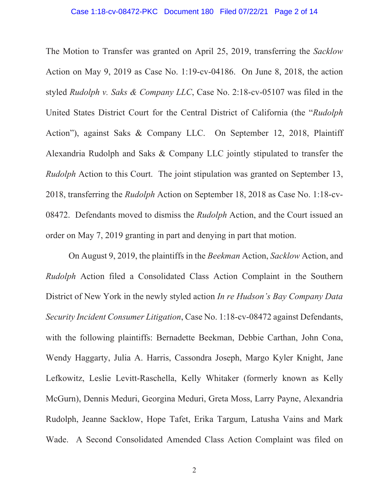## Case 1:18-cv-08472-PKC Document 180 Filed 07/22/21 Page 2 of 14

The Motion to Transfer was granted on April 25, 2019, transferring the *Sacklow*  Action on May 9, 2019 as Case No. 1:19-cv-04186. On June 8, 2018, the action styled *Rudolph v. Saks & Company LLC*, Case No. 2:18-cv-05107 was filed in the United States District Court for the Central District of California (the "*Rudolph*  Action"), against Saks & Company LLC. On September 12, 2018, Plaintiff Alexandria Rudolph and Saks & Company LLC jointly stipulated to transfer the *Rudolph* Action to this Court. The joint stipulation was granted on September 13, 2018, transferring the *Rudolph* Action on September 18, 2018 as Case No. 1:18-cv-08472. Defendants moved to dismiss the *Rudolph* Action, and the Court issued an order on May 7, 2019 granting in part and denying in part that motion.

On August 9, 2019, the plaintiffs in the *Beekman* Action, *Sacklow* Action, and *Rudolph* Action filed a Consolidated Class Action Complaint in the Southern District of New York in the newly styled action *In re Hudson's Bay Company Data Security Incident Consumer Litigation*, Case No. 1:18-cv-08472 against Defendants, with the following plaintiffs: Bernadette Beekman, Debbie Carthan, John Cona, Wendy Haggarty, Julia A. Harris, Cassondra Joseph, Margo Kyler Knight, Jane Lefkowitz, Leslie Levitt-Raschella, Kelly Whitaker (formerly known as Kelly McGurn), Dennis Meduri, Georgina Meduri, Greta Moss, Larry Payne, Alexandria Rudolph, Jeanne Sacklow, Hope Tafet, Erika Targum, Latusha Vains and Mark Wade. A Second Consolidated Amended Class Action Complaint was filed on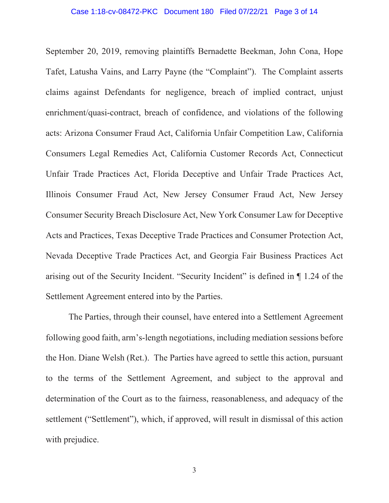September 20, 2019, removing plaintiffs Bernadette Beekman, John Cona, Hope Tafet, Latusha Vains, and Larry Payne (the "Complaint"). The Complaint asserts claims against Defendants for negligence, breach of implied contract, unjust enrichment/quasi-contract, breach of confidence, and violations of the following acts: Arizona Consumer Fraud Act, California Unfair Competition Law, California Consumers Legal Remedies Act, California Customer Records Act, Connecticut Unfair Trade Practices Act, Florida Deceptive and Unfair Trade Practices Act, Illinois Consumer Fraud Act, New Jersey Consumer Fraud Act, New Jersey Consumer Security Breach Disclosure Act, New York Consumer Law for Deceptive Acts and Practices, Texas Deceptive Trade Practices and Consumer Protection Act, Nevada Deceptive Trade Practices Act, and Georgia Fair Business Practices Act arising out of the Security Incident. "Security Incident" is defined in ¶ 1.24 of the Settlement Agreement entered into by the Parties.

The Parties, through their counsel, have entered into a Settlement Agreement following good faith, arm's-length negotiations, including mediation sessions before the Hon. Diane Welsh (Ret.). The Parties have agreed to settle this action, pursuant to the terms of the Settlement Agreement, and subject to the approval and determination of the Court as to the fairness, reasonableness, and adequacy of the settlement ("Settlement"), which, if approved, will result in dismissal of this action with prejudice.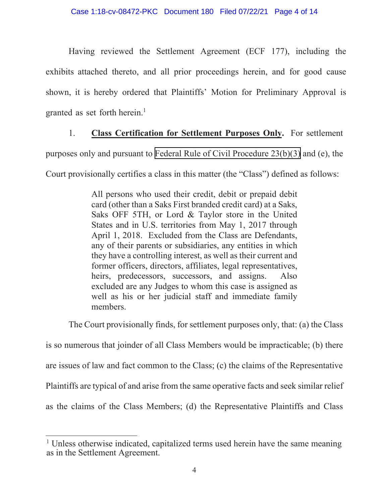Having reviewed the Settlement Agreement (ECF 177), including the exhibits attached thereto, and all prior proceedings herein, and for good cause shown, it is hereby ordered that Plaintiffs' Motion for Preliminary Approval is granted as set forth herein.<sup>1</sup>

# 1. **Class Certification for Settlement Purposes Only.** For settlement

purposes only and pursuant to [Federal Rule of Civil Procedure 23\(b\)\(3\)](http://www.google.com/search?q=FRCP+23(b)(3)) and (e), the

Court provisionally certifies a class in this matter (the "Class") defined as follows:

All persons who used their credit, debit or prepaid debit card (other than a Saks First branded credit card) at a Saks, Saks OFF 5TH, or Lord & Taylor store in the United States and in U.S. territories from May 1, 2017 through April 1, 2018. Excluded from the Class are Defendants, any of their parents or subsidiaries, any entities in which they have a controlling interest, as well as their current and former officers, directors, affiliates, legal representatives, heirs, predecessors, successors, and assigns. Also excluded are any Judges to whom this case is assigned as well as his or her judicial staff and immediate family members.

The Court provisionally finds, for settlement purposes only, that: (a) the Class

is so numerous that joinder of all Class Members would be impracticable; (b) there are issues of law and fact common to the Class; (c) the claims of the Representative Plaintiffs are typical of and arise from the same operative facts and seek similar relief as the claims of the Class Members; (d) the Representative Plaintiffs and Class

<sup>&</sup>lt;sup>1</sup> Unless otherwise indicated, capitalized terms used herein have the same meaning as in the Settlement Agreement.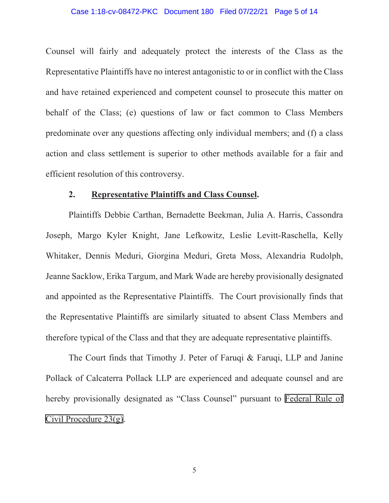## Case 1:18-cv-08472-PKC Document 180 Filed 07/22/21 Page 5 of 14

Counsel will fairly and adequately protect the interests of the Class as the Representative Plaintiffs have no interest antagonistic to or in conflict with the Class and have retained experienced and competent counsel to prosecute this matter on behalf of the Class; (e) questions of law or fact common to Class Members predominate over any questions affecting only individual members; and (f) a class action and class settlement is superior to other methods available for a fair and efficient resolution of this controversy.

## **2. Representative Plaintiffs and Class Counsel.**

Plaintiffs Debbie Carthan, Bernadette Beekman, Julia A. Harris, Cassondra Joseph, Margo Kyler Knight, Jane Lefkowitz, Leslie Levitt-Raschella, Kelly Whitaker, Dennis Meduri, Giorgina Meduri, Greta Moss, Alexandria Rudolph, Jeanne Sacklow, Erika Targum, and Mark Wade are hereby provisionally designated and appointed as the Representative Plaintiffs. The Court provisionally finds that the Representative Plaintiffs are similarly situated to absent Class Members and therefore typical of the Class and that they are adequate representative plaintiffs.

The Court finds that Timothy J. Peter of Faruqi & Faruqi, LLP and Janine Pollack of Calcaterra Pollack LLP are experienced and adequate counsel and are hereby provisionally designated as "Class Counsel" pursuant to [Federal Rule of](http://www.google.com/search?q=FRCP+23(g)) [Civil Procedure 23\(g\)](http://www.google.com/search?q=FRCP+23(g)).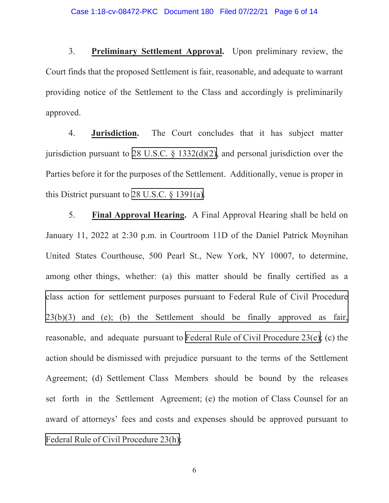3. **Preliminary Settlement Approval.** Upon preliminary review, the Court finds that the proposed Settlement is fair, reasonable, and adequate to warrant providing notice of the Settlement to the Class and accordingly is preliminarily approved.

4. **Jurisdiction.** The Court concludes that it has subject matter jurisdiction pursuant to [28 U.S.C. § 1332\(d\)\(2\),](http://www.google.com/search?q=28+u.s.c.++1332(d)(2)) and personal jurisdiction over the Parties before it for the purposes of the Settlement. Additionally, venue is proper in this District pursuant to 28 U.S.C.  $\frac{28 \text{ U.S. C}}{24 \text{ U.S. C}}$ .

5. **Final Approval Hearing.** A Final Approval Hearing shall be held on January 11, 2022 at 2:30 p.m. in Courtroom 11D of the Daniel Patrick Moynihan United States Courthouse, 500 Pearl St., New York, NY 10007, to determine, among other things, whether: (a) this matter should be finally certified as a [class action for settlement purposes pursuant to Federal Rule of Civil Procedure](http://www.google.com/search?q=FRCP+23(b)(3))  23(b)(3) and (e); (b) the Settlement should be finally approved as fair, reasonable, and adequate pursuant to [Federal Rule of Civil Procedure 23\(e\)](http://www.google.com/search?q=FRCP+23(e)); (c) the action should be dismissed with prejudice pursuant to the terms of the Settlement Agreement; (d) Settlement Class Members should be bound by the releases set forth in the Settlement Agreement; (e) the motion of Class Counsel for an award of attorneys' fees and costs and expenses should be approved pursuant to [Federal Rule of Civil Procedure 23\(h\)](http://www.google.com/search?q=FRCP+23(h));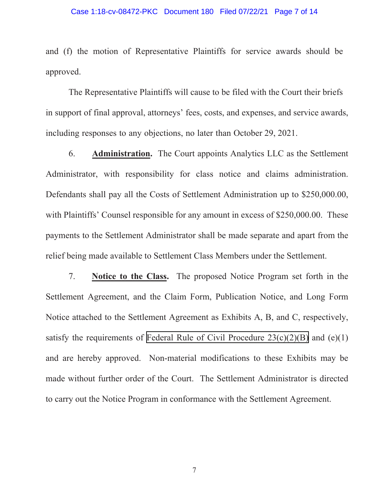## Case 1:18-cv-08472-PKC Document 180 Filed 07/22/21 Page 7 of 14

and (f) the motion of Representative Plaintiffs for service awards should be approved.

The Representative Plaintiffs will cause to be filed with the Court their briefs in support of final approval, attorneys' fees, costs, and expenses, and service awards, including responses to any objections, no later than October 29, 2021.

6. **Administration.** The Court appoints Analytics LLC as the Settlement Administrator, with responsibility for class notice and claims administration. Defendants shall pay all the Costs of Settlement Administration up to \$250,000.00, with Plaintiffs' Counsel responsible for any amount in excess of \$250,000.00. These payments to the Settlement Administrator shall be made separate and apart from the relief being made available to Settlement Class Members under the Settlement.

7. **Notice to the Class.** The proposed Notice Program set forth in the Settlement Agreement, and the Claim Form, Publication Notice, and Long Form Notice attached to the Settlement Agreement as Exhibits A, B, and C, respectively, satisfy the requirements of Federal Rule of Civil Procedure  $23(c)(2)(B)$  and  $(e)(1)$ and are hereby approved. Non-material modifications to these Exhibits may be made without further order of the Court. The Settlement Administrator is directed to carry out the Notice Program in conformance with the Settlement Agreement.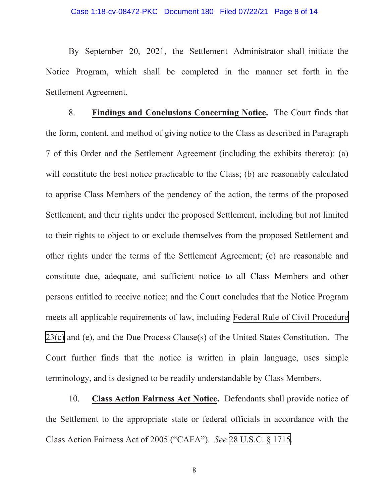By September 20, 2021, the Settlement Administrator shall initiate the Notice Program, which shall be completed in the manner set forth in the Settlement Agreement.

8. **Findings and Conclusions Concerning Notice.** The Court finds that the form, content, and method of giving notice to the Class as described in Paragraph 7 of this Order and the Settlement Agreement (including the exhibits thereto): (a) will constitute the best notice practicable to the Class; (b) are reasonably calculated to apprise Class Members of the pendency of the action, the terms of the proposed Settlement, and their rights under the proposed Settlement, including but not limited to their rights to object to or exclude themselves from the proposed Settlement and other rights under the terms of the Settlement Agreement; (c) are reasonable and constitute due, adequate, and sufficient notice to all Class Members and other persons entitled to receive notice; and the Court concludes that the Notice Program meets all applicable requirements of law, including [Federal Rule of Civil Procedure](http://www.google.com/search?q=FRCP

23(c)) [23\(c\)](http://www.google.com/search?q=FRCP

23(c)) and (e), and the Due Process Clause(s) of the United States Constitution. The Court further finds that the notice is written in plain language, uses simple terminology, and is designed to be readily understandable by Class Members.

10. **Class Action Fairness Act Notice.** Defendants shall provide notice of the Settlement to the appropriate state or federal officials in accordance with the Class Action Fairness Act of 2005 ("CAFA"). *See* [28 U.S.C. § 1715.](http://www.google.com/search?q=28+u.s.c.++1715)

8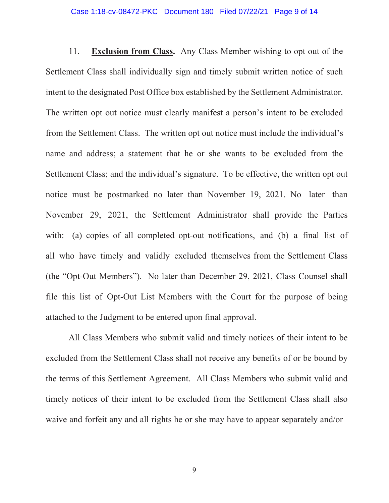## Case 1:18-cv-08472-PKC Document 180 Filed 07/22/21 Page 9 of 14

11. **Exclusion from Class.** Any Class Member wishing to opt out of the Settlement Class shall individually sign and timely submit written notice of such intent to the designated Post Office box established by the Settlement Administrator. The written opt out notice must clearly manifest a person's intent to be excluded from the Settlement Class. The written opt out notice must include the individual's name and address; a statement that he or she wants to be excluded from the Settlement Class; and the individual's signature. To be effective, the written opt out notice must be postmarked no later than November 19, 2021. No later than November 29, 2021, the Settlement Administrator shall provide the Parties with: (a) copies of all completed opt-out notifications, and (b) a final list of all who have timely and validly excluded themselves from the Settlement Class (the "Opt-Out Members"). No later than December 29, 2021, Class Counsel shall file this list of Opt-Out List Members with the Court for the purpose of being attached to the Judgment to be entered upon final approval.

All Class Members who submit valid and timely notices of their intent to be excluded from the Settlement Class shall not receive any benefits of or be bound by the terms of this Settlement Agreement. All Class Members who submit valid and timely notices of their intent to be excluded from the Settlement Class shall also waive and forfeit any and all rights he or she may have to appear separately and/or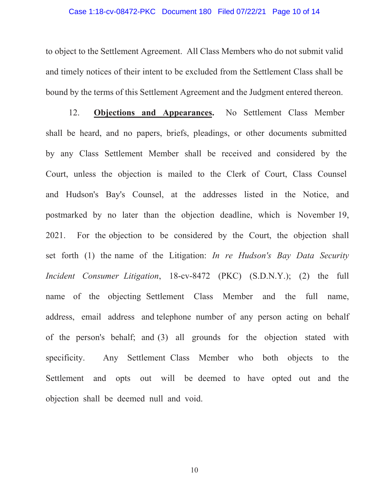## Case 1:18-cv-08472-PKC Document 180 Filed 07/22/21 Page 10 of 14

to object to the Settlement Agreement. All Class Members who do not submit valid and timely notices of their intent to be excluded from the Settlement Class shall be bound by the terms of this Settlement Agreement and the Judgment entered thereon.

12. **Objections and Appearances.** No Settlement Class Member shall be heard, and no papers, briefs, pleadings, or other documents submitted by any Class Settlement Member shall be received and considered by the Court, unless the objection is mailed to the Clerk of Court, Class Counsel and Hudson's Bay's Counsel, at the addresses listed in the Notice, and postmarked by no later than the objection deadline, which is November 19, 2021. For the objection to be considered by the Court, the objection shall set forth (1) the name of the Litigation: *In re Hudson's Bay Data Security Incident Consumer Litigation*, 18-cv-8472 (PKC) (S.D.N.Y.); (2) the full name of the objecting Settlement Class Member and the full name, address, email address and telephone number of any person acting on behalf of the person's behalf; and (3) all grounds for the objection stated with specificity. Any Settlement Class Member who both objects to the Settlement and opts out will be deemed to have opted out and the objection shall be deemed null and void.

10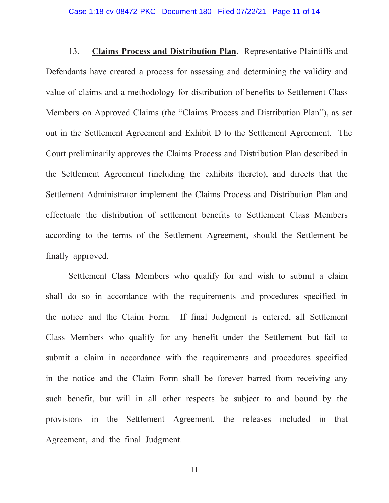13. **Claims Process and Distribution Plan.** Representative Plaintiffs and Defendants have created a process for assessing and determining the validity and value of claims and a methodology for distribution of benefits to Settlement Class Members on Approved Claims (the "Claims Process and Distribution Plan"), as set out in the Settlement Agreement and Exhibit D to the Settlement Agreement. The Court preliminarily approves the Claims Process and Distribution Plan described in the Settlement Agreement (including the exhibits thereto), and directs that the Settlement Administrator implement the Claims Process and Distribution Plan and effectuate the distribution of settlement benefits to Settlement Class Members according to the terms of the Settlement Agreement, should the Settlement be finally approved.

Settlement Class Members who qualify for and wish to submit a claim shall do so in accordance with the requirements and procedures specified in the notice and the Claim Form. If final Judgment is entered, all Settlement Class Members who qualify for any benefit under the Settlement but fail to submit a claim in accordance with the requirements and procedures specified in the notice and the Claim Form shall be forever barred from receiving any such benefit, but will in all other respects be subject to and bound by the provisions in the Settlement Agreement, the releases included in that Agreement, and the final Judgment.

11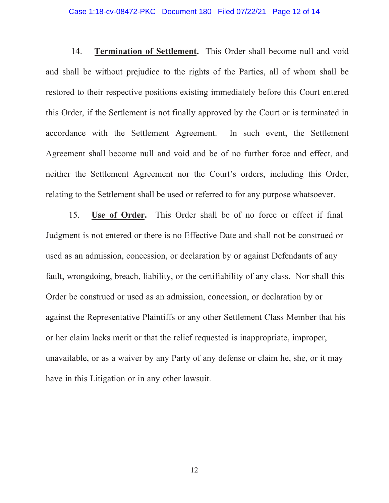## Case 1:18-cv-08472-PKC Document 180 Filed 07/22/21 Page 12 of 14

14. **Termination of Settlement.** This Order shall become null and void and shall be without prejudice to the rights of the Parties, all of whom shall be restored to their respective positions existing immediately before this Court entered this Order, if the Settlement is not finally approved by the Court or is terminated in accordance with the Settlement Agreement. In such event, the Settlement Agreement shall become null and void and be of no further force and effect, and neither the Settlement Agreement nor the Court's orders, including this Order, relating to the Settlement shall be used or referred to for any purpose whatsoever.

15. **Use of Order.** This Order shall be of no force or effect if final Judgment is not entered or there is no Effective Date and shall not be construed or used as an admission, concession, or declaration by or against Defendants of any fault, wrongdoing, breach, liability, or the certifiability of any class. Nor shall this Order be construed or used as an admission, concession, or declaration by or against the Representative Plaintiffs or any other Settlement Class Member that his or her claim lacks merit or that the relief requested is inappropriate, improper, unavailable, or as a waiver by any Party of any defense or claim he, she, or it may have in this Litigation or in any other lawsuit.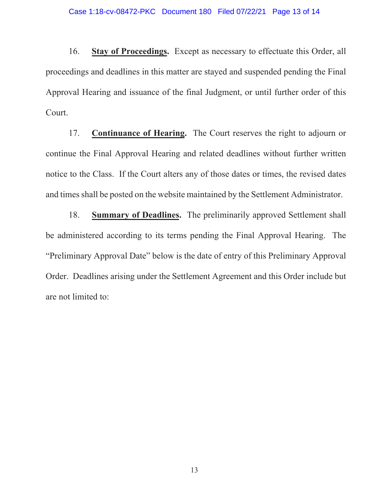16. **Stay of Proceedings.** Except as necessary to effectuate this Order, all proceedings and deadlines in this matter are stayed and suspended pending the Final Approval Hearing and issuance of the final Judgment, or until further order of this Court.

17. **Continuance of Hearing.** The Court reserves the right to adjourn or continue the Final Approval Hearing and related deadlines without further written notice to the Class. If the Court alters any of those dates or times, the revised dates and times shall be posted on the website maintained by the Settlement Administrator.

18. **Summary of Deadlines.** The preliminarily approved Settlement shall be administered according to its terms pending the Final Approval Hearing. The "Preliminary Approval Date" below is the date of entry of this Preliminary Approval Order. Deadlines arising under the Settlement Agreement and this Order include but are not limited to: